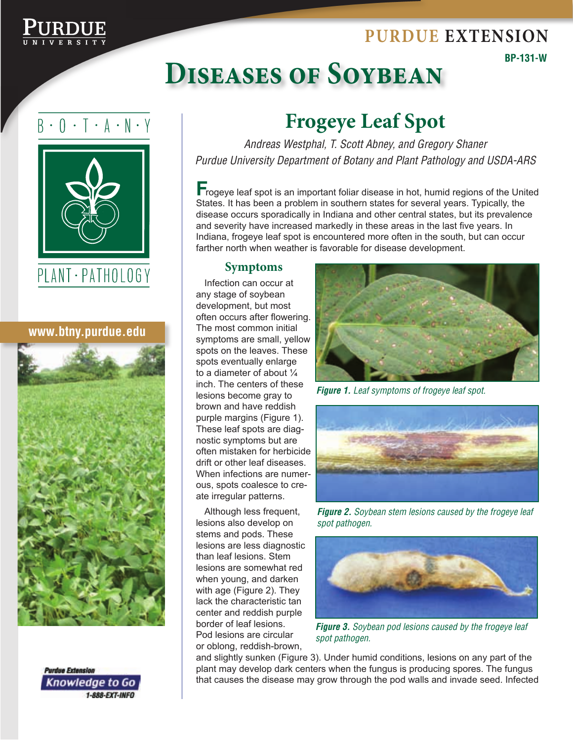### **Purdue Extension**



**BP-131-W**

# **Diseases of Soybean**

### $B \cdot 0 \cdot T \cdot A \cdot N \cdot Y$



#### **www.btny.purdue.edu**





## **Frogeye Leaf Spot**

*Andreas Westphal, T. Scott Abney, and Gregory Shaner Purdue University Department of Botany and Plant Pathology and USDA-ARS*

**F**rogeye leaf spot is an important foliar disease in hot, humid regions of the United States. It has been a problem in southern states for several years. Typically, the disease occurs sporadically in Indiana and other central states, but its prevalence and severity have increased markedly in these areas in the last five years. In Indiana, frogeye leaf spot is encountered more often in the south, but can occur farther north when weather is favorable for disease development.

#### **Symptoms**

Infection can occur at any stage of soybean development, but most often occurs after flowering. The most common initial symptoms are small, yellow spots on the leaves. These spots eventually enlarge to a diameter of about ¼ inch. The centers of these lesions become gray to brown and have reddish purple margins (Figure 1). These leaf spots are diagnostic symptoms but are often mistaken for herbicide drift or other leaf diseases. When infections are numerous, spots coalesce to create irregular patterns.

Although less frequent, lesions also develop on stems and pods. These lesions are less diagnostic than leaf lesions. Stem lesions are somewhat red when young, and darken with age (Figure 2). They lack the characteristic tan center and reddish purple border of leaf lesions. Pod lesions are circular or oblong, reddish-brown,



*Figure 1. Leaf symptoms of frogeye leaf spot.*



*Figure 2. Soybean stem lesions caused by the frogeye leaf spot pathogen.*



*Figure 3. Soybean pod lesions caused by the frogeye leaf spot pathogen.*

and slightly sunken (Figure 3). Under humid conditions, lesions on any part of the plant may develop dark centers when the fungus is producing spores. The fungus that causes the disease may grow through the pod walls and invade seed. Infected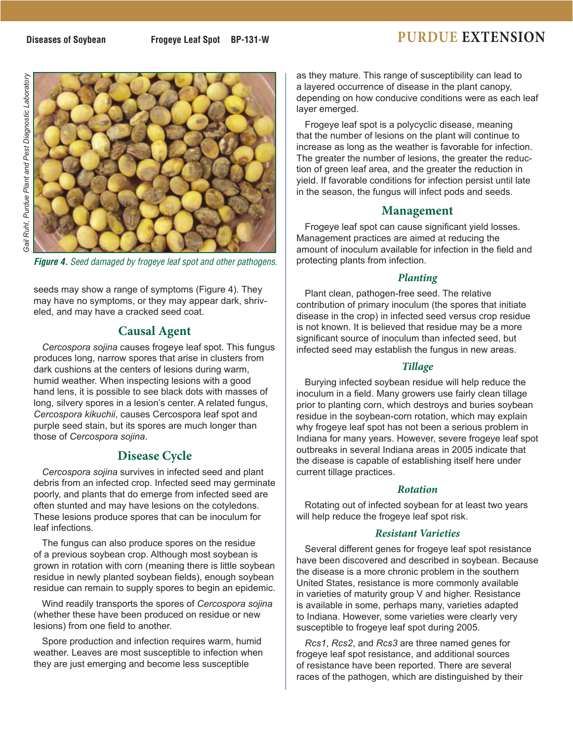### **Diseases of Soybean** Frogeye Leaf Spot BP-131-W **PURDUE** EXTENSION





*Figure 4. Seed damaged by frogeye leaf spot and other pathogens.*

seeds may show a range of symptoms (Figure 4). They may have no symptoms, or they may appear dark, shriveled, and may have a cracked seed coat.

#### **Causal Agent**

*Cercospora sojina* causes frogeye leaf spot. This fungus produces long, narrow spores that arise in clusters from dark cushions at the centers of lesions during warm, humid weather. When inspecting lesions with a good hand lens, it is possible to see black dots with masses of long, silvery spores in a lesion's center. A related fungus, *Cercospora kikuchii*, causes Cercospora leaf spot and purple seed stain, but its spores are much longer than those of *Cercospora sojina*.

#### **Disease Cycle**

*Cercospora sojina* survives in infected seed and plant debris from an infected crop. Infected seed may germinate poorly, and plants that do emerge from infected seed are often stunted and may have lesions on the cotyledons. These lesions produce spores that can be inoculum for leaf infections.

The fungus can also produce spores on the residue of a previous soybean crop. Although most soybean is grown in rotation with corn (meaning there is little soybean residue in newly planted soybean fields), enough soybean residue can remain to supply spores to begin an epidemic.

Wind readily transports the spores of *Cercospora sojina* (whether these have been produced on residue or new lesions) from one field to another.

Spore production and infection requires warm, humid weather. Leaves are most susceptible to infection when they are just emerging and become less susceptible

as they mature. This range of susceptibility can lead to a layered occurrence of disease in the plant canopy, depending on how conducive conditions were as each leaf layer emerged.

Frogeye leaf spot is a polycyclic disease, meaning that the number of lesions on the plant will continue to increase as long as the weather is favorable for infection. The greater the number of lesions, the greater the reduction of green leaf area, and the greater the reduction in yield. If favorable conditions for infection persist until late in the season, the fungus will infect pods and seeds.

#### **Management**

Frogeye leaf spot can cause significant yield losses. Management practices are aimed at reducing the amount of inoculum available for infection in the field and protecting plants from infection.

#### *Planting*

Plant clean, pathogen-free seed. The relative contribution of primary inoculum (the spores that initiate disease in the crop) in infected seed versus crop residue is not known. It is believed that residue may be a more significant source of inoculum than infected seed, but infected seed may establish the fungus in new areas.

#### *Tillage*

Burying infected soybean residue will help reduce the inoculum in a field. Many growers use fairly clean tillage prior to planting corn, which destroys and buries soybean residue in the soybean-corn rotation, which may explain why frogeye leaf spot has not been a serious problem in Indiana for many years. However, severe frogeye leaf spot outbreaks in several Indiana areas in 2005 indicate that the disease is capable of establishing itself here under current tillage practices.

#### *Rotation*

Rotating out of infected soybean for at least two years will help reduce the frogeye leaf spot risk.

#### *Resistant Varieties*

Several different genes for frogeye leaf spot resistance have been discovered and described in soybean. Because the disease is a more chronic problem in the southern United States, resistance is more commonly available in varieties of maturity group V and higher. Resistance is available in some, perhaps many, varieties adapted to Indiana. However, some varieties were clearly very susceptible to frogeye leaf spot during 2005.

*Rcs1*, *Rcs2*, and *Rcs3* are three named genes for frogeye leaf spot resistance, and additional sources of resistance have been reported. There are several races of the pathogen, which are distinguished by their